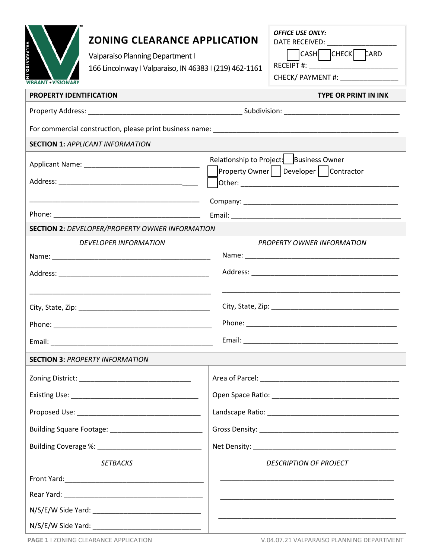| <b>VALPARAISC</b><br>VIBRANT • VISIONARY                      | <b>ZONING CLEARANCE APPLICATION</b><br>Valparaiso Planning Department  <br>166 Lincolnway   Valparaiso, IN 46383   (219) 462-1161 |  | <b>OFFICE USE ONLY:</b><br>DATE RECEIVED: NATE RECEIVED:<br>CASH CHECK CARD<br>CHECK/ PAYMENT #: ________________ |  |  |
|---------------------------------------------------------------|-----------------------------------------------------------------------------------------------------------------------------------|--|-------------------------------------------------------------------------------------------------------------------|--|--|
| <b>PROPERTY IDENTIFICATION</b><br><b>TYPE OR PRINT IN INK</b> |                                                                                                                                   |  |                                                                                                                   |  |  |
|                                                               |                                                                                                                                   |  |                                                                                                                   |  |  |
|                                                               |                                                                                                                                   |  |                                                                                                                   |  |  |
| <b>SECTION 1: APPLICANT INFORMATION</b>                       |                                                                                                                                   |  |                                                                                                                   |  |  |
|                                                               |                                                                                                                                   |  | Relationship to Project:   Business Owner<br>Property Owner   Developer   Contractor                              |  |  |
|                                                               |                                                                                                                                   |  |                                                                                                                   |  |  |
|                                                               |                                                                                                                                   |  |                                                                                                                   |  |  |
| <b>SECTION 2: DEVELOPER/PROPERTY OWNER INFORMATION</b>        |                                                                                                                                   |  |                                                                                                                   |  |  |
|                                                               | <b>DEVELOPER INFORMATION</b>                                                                                                      |  | <b>PROPERTY OWNER INFORMATION</b>                                                                                 |  |  |
|                                                               |                                                                                                                                   |  |                                                                                                                   |  |  |
|                                                               |                                                                                                                                   |  |                                                                                                                   |  |  |
|                                                               |                                                                                                                                   |  |                                                                                                                   |  |  |
|                                                               |                                                                                                                                   |  |                                                                                                                   |  |  |
|                                                               | <b>SECTION 3: PROPERTY INFORMATION</b>                                                                                            |  |                                                                                                                   |  |  |
|                                                               |                                                                                                                                   |  |                                                                                                                   |  |  |
|                                                               |                                                                                                                                   |  |                                                                                                                   |  |  |
|                                                               |                                                                                                                                   |  |                                                                                                                   |  |  |
|                                                               |                                                                                                                                   |  |                                                                                                                   |  |  |
|                                                               |                                                                                                                                   |  |                                                                                                                   |  |  |
| <b>SETBACKS</b>                                               |                                                                                                                                   |  | <b>DESCRIPTION OF PROJECT</b>                                                                                     |  |  |
|                                                               |                                                                                                                                   |  |                                                                                                                   |  |  |
|                                                               |                                                                                                                                   |  |                                                                                                                   |  |  |
|                                                               |                                                                                                                                   |  |                                                                                                                   |  |  |
|                                                               |                                                                                                                                   |  |                                                                                                                   |  |  |